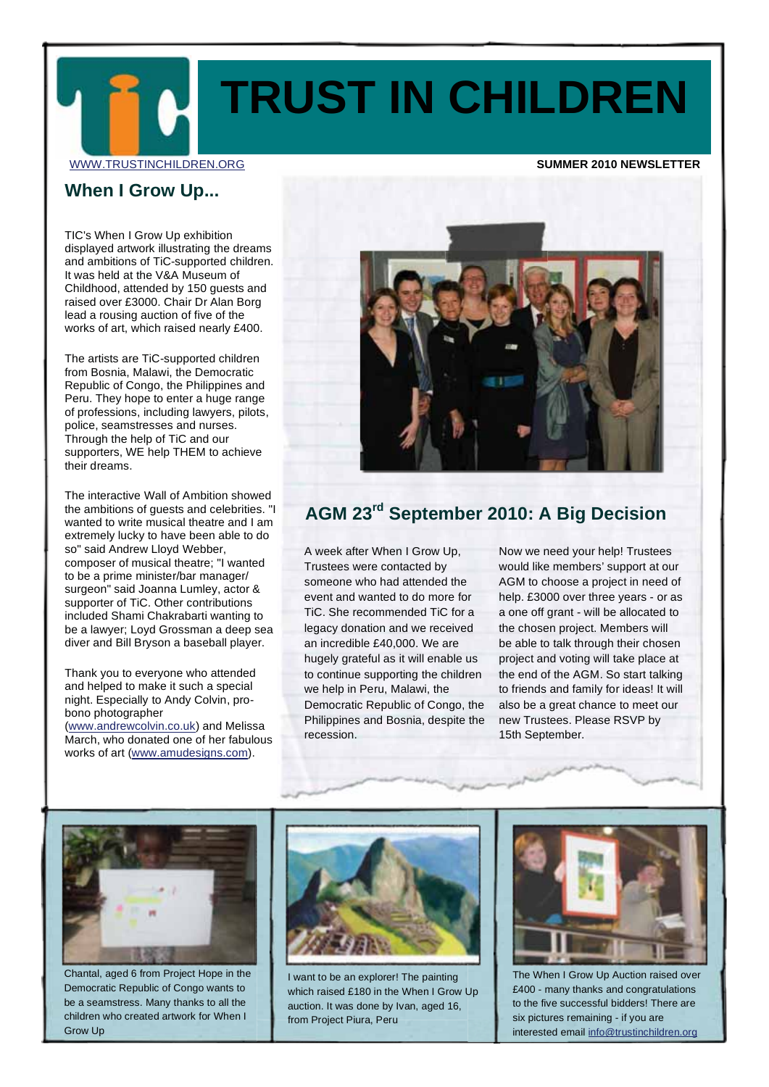# **TRUST IN CHILDREN**

WWW.TRUSTINCHILDREN.ORG **SUMMER 2010 NEWSLETTER**

### **When I Grow Up...**

TIC's When I Grow Up exhibition displayed artwork illustrating the dreams and ambitions of TiC-supported children. It was held at the V&A Museum of Childhood, attended by 150 guests and raised over £3000. Chair Dr Alan Borg lead a rousing auction of five of the works of art, which raised nearly £400.

The artists are TiC-supported children from Bosnia, Malawi, the Democratic Republic of Congo, the Philippines and Peru. They hope to enter a huge range of professions, including lawyers, pilots, police, seamstresses and nurses. Through the help of TiC and our supporters, WE help THEM to achieve their dreams.

The interactive Wall of Ambition showed the ambitions of guests and celebrities. "I wanted to write musical theatre and I am extremely lucky to have been able to do so" said Andrew Lloyd Webber, composer of musical theatre; "I wanted to be a prime minister/bar manager/ surgeon" said Joanna Lumley, actor & supporter of TiC. Other contributions included Shami Chakrabarti wanting to be a lawyer; Loyd Grossman a deep sea diver and Bill Bryson a baseball player.

Thank you to everyone who attended and helped to make it such a special night. Especially to Andy Colvin, probono photographer

(www.andrewcolvin.co.uk) and Melissa March, who donated one of her fabulous works of art (www.amudesigns.com).



# **AGM 23rd September 2010: A Big Decision**

A week after When I Grow Up, Trustees were contacted by someone who had attended the event and wanted to do more for TiC. She recommended TiC for a legacy donation and we received an incredible £40,000. We are hugely grateful as it will enable us to continue supporting the children we help in Peru, Malawi, the Democratic Republic of Congo, the Philippines and Bosnia, despite the recession.

Now we need your help! Trustees would like members' support at our AGM to choose a project in need of help. £3000 over three years - or as a one off grant - will be allocated to the chosen project. Members will be able to talk through their chosen project and voting will take place at the end of the AGM. So start talking to friends and family for ideas! It will also be a great chance to meet our new Trustees. Please RSVP by 15th September.



Chantal, aged 6 from Project Hope in the Democratic Republic of Congo wants to be a seamstress. Many thanks to all the children who created artwork for When I Grow Up



I want to be an explorer! The painting which raised £180 in the When I Grow Up auction. It was done by Ivan, aged 16, from Project Piura, Peru



The When I Grow Up Auction raised over £400 - many thanks and congratulations to the five successful bidders! There are six pictures remaining - if you are interested email info@trustinchildren.org